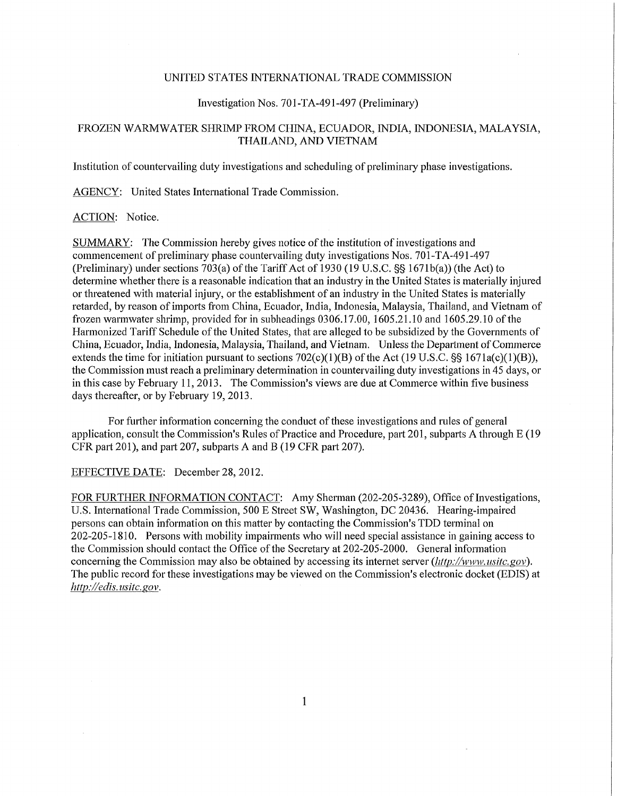### UNITED STATES INTERNATIONAL TRADE COMMISSION

### Investigation Nos. 70l-TA-491-497 (Preliminary)

# FROZEN WARMWATER SHRIMP FROM CHINA, ECUADOR, INDIA, INDONESIA, MALAYSIA, THAILAND, AND VIETNAM

Institution of countervailing duty investigations and scheduling of preliminary phase investigations.

AGENCY: United States International Trade Commission. AGENCY: United States Intemational Trade Commission.

#### ACTION: Notice.

SUMMARY: The Commission hereby gives notice of the institution of investigations and commencement of preliminary phase countervailing duty investigations Nos. 70l-TA-491-497 (Preliminary) under sections 703(a) of the Tariff Act of 1930 (19 U.S.C.  $\S$ § 1671b(a)) (the Act) to determine whether there is a reasonable indication that an industry in the United States is materially injured or threatened with material injury, or the establishment of an industry in the United States is materially retarded, by reason of imports from China, Ecuador, India, Indonesia, Malaysia, Thailand, and Vietnam of frozen warmwater shrimp, provided for in subheadings 0306.17.00, 1605.21.10 and 1605.29.10 of the Harmonized Tariff Schedule of the United States, that are alleged to be subsidized by the Governments of China, Ecuador, India, Indonesia, Malaysia, Thailand, and Vietnam. Unless the Department of Commerce extends the time for initiation pursuant to sections  $702(c)(1)(B)$  of the Act (19 U.S.C. §§ 1671a(c)(1)(B)), the Commission must reach a preliminary determination in countervailing duty investigations in 45 days, or in this case by February 11, 2013. The Commission's views are due at Commerce within five business days thereafter, or by February 19, 2013.

For further information concerning the conduct of these investigations and rules of general application, consult the Commission's Rules of Practice and Procedure, part 201, subparts A through E (19 CFR part 201), and part 207, subparts A and B (19 CFR part 207).

## EFFECTIVE DATE: December 28, 2012.

FOR FURTHER INFORMATION CONTACT: Amy Sherman (202-205-3289), Office of Investigations, U.S. International Trade Commission, 500 E Street SW, Washington, DC 20436. Hearing-impaired persons can obtain information on this matter by contacting the Commission's TDD terminal on 202-205-1810. Persons with mobility impairments who will need special assistance in gaining access to the Commission should contact the Office of the Secretaiy at 202-205-2000. General information concerning the Commission may also be obtained by accessing its internet server *(Jittp://www. usitc.gov).*  The public record for these investigations may be viewed on the Commission's electronic docket (EDIS) at *http://edis. usitc. gov.*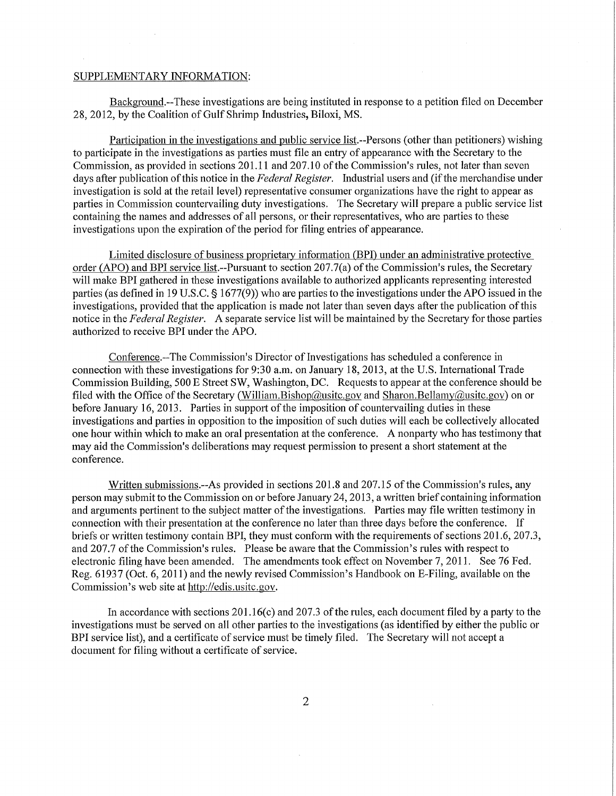#### SUPPLEMENTARY INFORMATION:

Background.—These investigations are being instituted in response to a petition filed on December 28, 2012, by the Coalition of Gulf Shrimp Industries, Biloxi, MS.

Participation in the investigations and public service list.--Persons (other than petitioners) wishing to participate in the investigations as parties must file an entiy of appearance with the Secretaiy to the Commission, as provided in sections 201.11 and 207.10 of the Commission's rules, not later than seven days after publication of this notice in the *Federal Register.* Industrial users and (if the merchandise under investigation is sold at the retail level) representative consumer organizations have the right to appear as parties in Commission countervailing duty investigations. The Secretary will prepare a public service list containing the names and addresses of all persons, or their representatives, who are parties to these investigations upon the expiration of the period for filing entries of appearance.

Limited disclosure of business proprietary information (BPI) under an administrative protective order (APO) and BPI service list-Pursuant to section 207.7(a) of the Commission's rules, the Secretary will make BPI gathered in these investigations available to authorized applicants representing interested parties (as defined in 19 U.S.C. § 1677(9)) who are parties to the investigations under the APO issued in the investigations, provided that the application is made not later than seven days after the publication of this notice in the *Federal Register.* A separate service list will be maintained by the Secretary for those parties authorized to receive BPI under the APO.

Conference.—The Commission's Director of Investigations has scheduled a conference in connection with these investigations for 9:30 a.m. on January 18, 2013, at the U.S. International Trade Commission Building, 500 E Street SW, Washington, DC. Requests to appear at the conference should be filed with the Office of the Secretary (William.Bishop@usitc.gov and Sharon.Bellamy@usitc.gov) on or before January 16, 2013. Parties in support of the imposition of countervailing duties in these investigations and parties in opposition to the imposition of such duties will each be collectively allocated one hour within which to make an oral presentation at the conference. A nonparty who has testimony that may aid the Commission's deliberations may request permission to present a short statement at the conference.

Written submissions.—As provided in sections 201.8 and 207.15 of the Commission's rules, any person may submit to the Commission on or before January 24, 2013, a written brief containing information and arguments pertinent to the subject matter of the investigations. Parties may file written testimony in connection with their presentation at the conference no later than three days before the conference. If briefs or written testimony contain BPI, they must conform with the requirements of sections 201.6, 207.3, and 207.7 of the Commission's rules. Please be aware that the Commission's rules with respect to electronic filing have been amended. The amendments took effect on November 7, 2011. See 76 Fed. Reg. 61937 (Oct. 6, 2011) and the newly revised Commission's Handbook on E-Filing, available on the Commission's web site at http://edis.usitc.gov.

In accordance with sections  $201.16(c)$  and  $207.3$  of the rules, each document filed by a party to the investigations must be served on all other parties to the investigations (as identified by either the public or BPI service list), and a certificate of service must be timely filed. The Secretary will not accept a document for filing without a certificate of service.